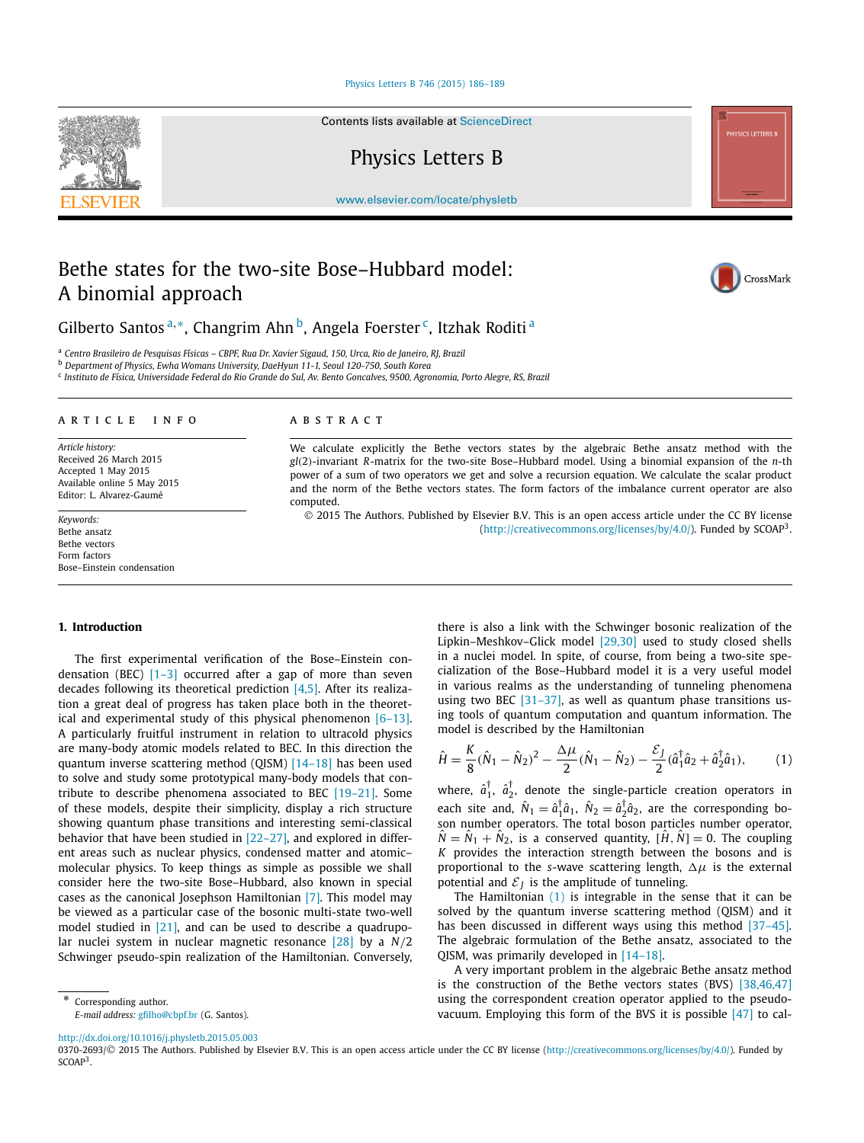#### [Physics Letters B 746 \(2015\) 186–189](http://dx.doi.org/10.1016/j.physletb.2015.05.003)

Contents lists available at [ScienceDirect](http://www.ScienceDirect.com/)

Physics Letters B

[www.elsevier.com/locate/physletb](http://www.elsevier.com/locate/physletb)

# Bethe states for the two-site Bose–Hubbard model: A binomial approach

CrossMark

Gilberto Santos<sup>a,∗</sup>, Changrim Ahn<sup>b</sup>, Angela Foerster<sup>c</sup>, Itzhak Roditi<sup>a</sup>

<sup>a</sup> Centro Brasileiro de Pesquisas Físicas - CBPF, Rua Dr. Xavier Sigaud, 150, Urca, Rio de Janeiro, RJ, Brazil

<sup>b</sup> *Department of Physics, Ewha Womans University, DaeHyun 11-1, Seoul 120-750, South Korea*

<sup>c</sup> Instituto de Física, Universidade Federal do Rio Grande do Sul, Av. Bento Goncalves, 9500, Agronomia, Porto Alegre, RS, Brazil

## A R T I C L E I N F O A B S T R A C T

*Article history:* Received 26 March 2015 Accepted 1 May 2015 Available online 5 May 2015 Editor: L. Alvarez-Gaumé

*Keywords:* Bethe ansatz Bethe vectors Form factors Bose–Einstein condensation

We calculate explicitly the Bethe vectors states by the algebraic Bethe ansatz method with the *gl(*2*)*-invariant *R*-matrix for the two-site Bose–Hubbard model. Using a binomial expansion of the *n*-th power of a sum of two operators we get and solve a recursion equation. We calculate the scalar product and the norm of the Bethe vectors states. The form factors of the imbalance current operator are also computed.

© 2015 The Authors. Published by Elsevier B.V. This is an open access article under the CC BY license [\(http://creativecommons.org/licenses/by/4.0/\)](http://creativecommons.org/licenses/by/4.0/). Funded by  $SCOAP<sup>3</sup>$ .

#### **1. Introduction**

The first experimental verification of the Bose–Einstein condensation (BEC) [\[1–3\]](#page-3-0) occurred after a gap of more than seven decades following its theoretical prediction  $[4,5]$ . After its realization a great deal of progress has taken place both in the theoretical and experimental study of this physical phenomenon [\[6–13\].](#page-3-0) A particularly fruitful instrument in relation to ultracold physics are many-body atomic models related to BEC. In this direction the quantum inverse scattering method (QISM) [\[14–18\]](#page-3-0) has been used to solve and study some prototypical many-body models that contribute to describe phenomena associated to BEC [\[19–21\].](#page-3-0) Some of these models, despite their simplicity, display a rich structure showing quantum phase transitions and interesting semi-classical behavior that have been studied in [\[22–27\],](#page-3-0) and explored in different areas such as nuclear physics, condensed matter and atomic– molecular physics. To keep things as simple as possible we shall consider here the two-site Bose–Hubbard, also known in special cases as the canonical Josephson Hamiltonian [\[7\].](#page-3-0) This model may be viewed as a particular case of the bosonic multi-state two-well model studied in [\[21\],](#page-3-0) and can be used to describe a quadrupolar nuclei system in nuclear magnetic resonance [\[28\]](#page-3-0) by a *N/*2 Schwinger pseudo-spin realization of the Hamiltonian. Conversely,

\* Corresponding author.

*E-mail address:* [gfilho@cbpf.br](mailto:gfilho@cbpf.br) (G. Santos).

there is also a link with the Schwinger bosonic realization of the Lipkin–Meshkov–Glick model [\[29,30\]](#page-3-0) used to study closed shells in a nuclei model. In spite, of course, from being a two-site specialization of the Bose–Hubbard model it is a very useful model in various realms as the understanding of tunneling phenomena using two BEC [\[31–37\],](#page-3-0) as well as quantum phase transitions using tools of quantum computation and quantum information. The model is described by the Hamiltonian

$$
\hat{H} = \frac{K}{8}(\hat{N}_1 - \hat{N}_2)^2 - \frac{\Delta\mu}{2}(\hat{N}_1 - \hat{N}_2) - \frac{\mathcal{E}_J}{2}(\hat{a}_1^\dagger \hat{a}_2 + \hat{a}_2^\dagger \hat{a}_1),\tag{1}
$$

where,  $\hat{a}_1^{\dagger}$ ,  $\hat{a}_2^{\dagger}$ , denote the single-particle creation operators in each site and,  $\hat{N}_1 = \hat{a}_1^{\dagger} \hat{a}_1$ ,  $\hat{N}_2 = \hat{a}_2^{\dagger} \hat{a}_2$ , are the corresponding boson number operators. The total boson particles number operator,  $\hat{N} = \hat{N}_1 + \hat{N}_2$ , is a conserved quantity,  $[\hat{H}, \hat{N}] = 0$ . The coupling *K* provides the interaction strength between the bosons and is proportional to the *s*-wave scattering length,  $\Delta \mu$  is the external potential and  $\mathcal{E}_I$  is the amplitude of tunneling.

The Hamiltonian (1) is integrable in the sense that it can be solved by the quantum inverse scattering method (QISM) and it has been discussed in different ways using this method [37-45]. The algebraic formulation of the Bethe ansatz, associated to the QISM, was primarily developed in [\[14–18\].](#page-3-0)

A very important problem in the algebraic Bethe ansatz method is the construction of the Bethe vectors states (BVS) [\[38,46,47\]](#page-3-0) using the correspondent creation operator applied to the pseudovacuum. Employing this form of the BVS it is possible [\[47\]](#page-3-0) to cal-

<http://dx.doi.org/10.1016/j.physletb.2015.05.003>

0370-2693/© 2015 The Authors. Published by Elsevier B.V. This is an open access article under the CC BY license [\(http://creativecommons.org/licenses/by/4.0/\)](http://creativecommons.org/licenses/by/4.0/). Funded by SCOAP<sup>3</sup>.

<span id="page-0-0"></span>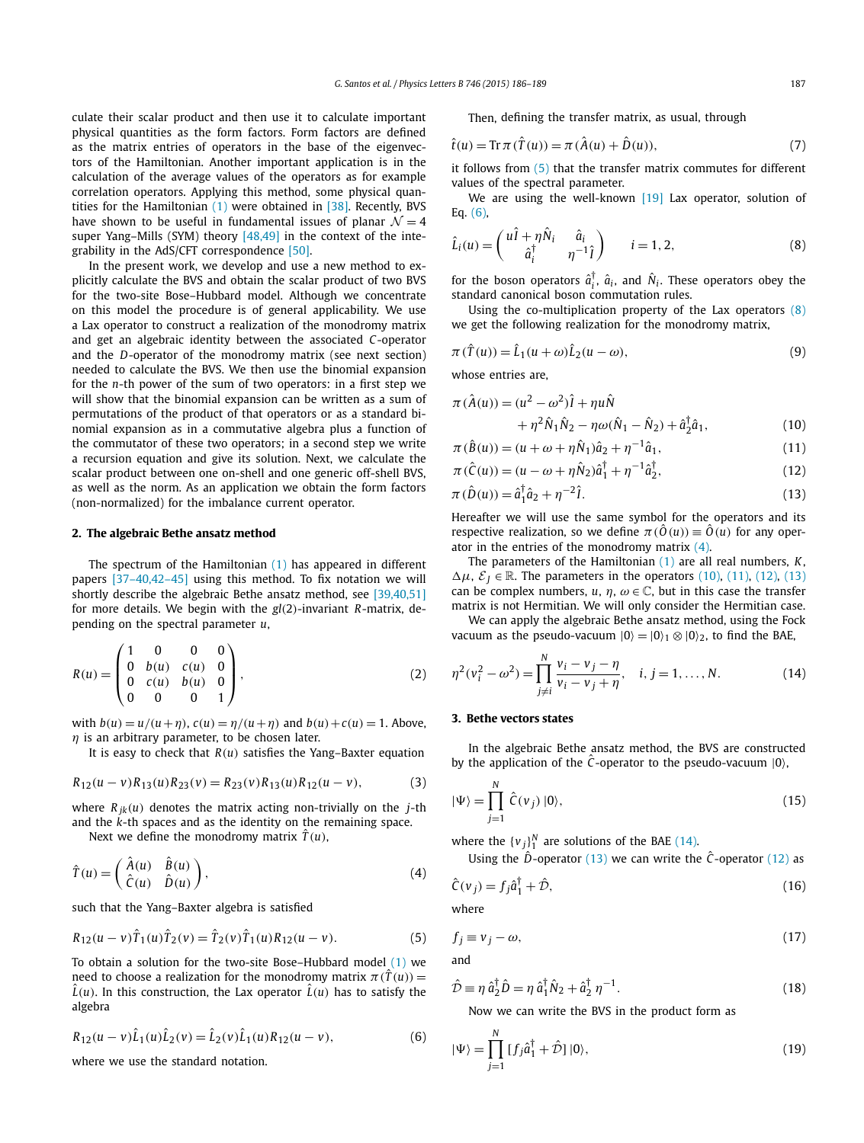<span id="page-1-0"></span>culate their scalar product and then use it to calculate important physical quantities as the form factors. Form factors are defined as the matrix entries of operators in the base of the eigenvectors of the Hamiltonian. Another important application is in the calculation of the average values of the operators as for example correlation operators. Applying this method, some physical quantities for the Hamiltonian [\(1\)](#page-0-0) were obtained in [\[38\].](#page-3-0) Recently, BVS have shown to be useful in fundamental issues of planar  $\mathcal{N} = 4$ super Yang–Mills (SYM) theory [\[48,49\]](#page-3-0) in the context of the integrability in the AdS/CFT correspondence [\[50\].](#page-3-0)

In the present work, we develop and use a new method to explicitly calculate the BVS and obtain the scalar product of two BVS for the two-site Bose–Hubbard model. Although we concentrate on this model the procedure is of general applicability. We use a Lax operator to construct a realization of the monodromy matrix and get an algebraic identity between the associated *C*-operator and the *D*-operator of the monodromy matrix (see next section) needed to calculate the BVS. We then use the binomial expansion for the *n*-th power of the sum of two operators: in a first step we will show that the binomial expansion can be written as a sum of permutations of the product of that operators or as a standard binomial expansion as in a commutative algebra plus a function of the commutator of these two operators; in a second step we write a recursion equation and give its solution. Next, we calculate the scalar product between one on-shell and one generic off-shell BVS, as well as the norm. As an application we obtain the form factors (non-normalized) for the imbalance current operator.

# **2. The algebraic Bethe ansatz method**

The spectrum of the Hamiltonian [\(1\)](#page-0-0) has appeared in different papers [\[37–40,42–45\]](#page-3-0) using this method. To fix notation we will shortly describe the algebraic Bethe ansatz method, see [\[39,40,51\]](#page-3-0) for more details. We begin with the *gl(*2*)*-invariant *R*-matrix, depending on the spectral parameter *u*,

$$
R(u) = \begin{pmatrix} 1 & 0 & 0 & 0 \\ 0 & b(u) & c(u) & 0 \\ 0 & c(u) & b(u) & 0 \\ 0 & 0 & 0 & 1 \end{pmatrix},
$$
 (2)

with  $b(u) = u/(u + \eta)$ ,  $c(u) = \eta/(u + \eta)$  and  $b(u) + c(u) = 1$ . Above, *η* is an arbitrary parameter, to be chosen later.

It is easy to check that *R(u)* satisfies the Yang–Baxter equation

$$
R_{12}(u-v)R_{13}(u)R_{23}(v) = R_{23}(v)R_{13}(u)R_{12}(u-v),
$$
\n(3)

where  $R_{ik}(u)$  denotes the matrix acting non-trivially on the *j*-th and the *k*-th spaces and as the identity on the remaining space.

Next we define the monodromy matrix  $\hat{T}(u)$ ,

$$
\hat{T}(u) = \begin{pmatrix} \hat{A}(u) & \hat{B}(u) \\ \hat{C}(u) & \hat{D}(u) \end{pmatrix},
$$
\n(4)

such that the Yang–Baxter algebra is satisfied

$$
R_{12}(u-v)\hat{T}_1(u)\hat{T}_2(v) = \hat{T}_2(v)\hat{T}_1(u)R_{12}(u-v).
$$
 (5)

To obtain a solution for the two-site Bose–Hubbard model [\(1\)](#page-0-0) we need to choose a realization for the monodromy matrix  $\pi(\hat{T}(u)) =$  $L(u)$ . In this construction, the Lax operator  $L(u)$  has to satisfy the algebra

$$
R_{12}(u-v)\hat{L}_1(u)\hat{L}_2(v) = \hat{L}_2(v)\hat{L}_1(u)R_{12}(u-v),
$$
\n(6)

where we use the standard notation.

Then, defining the transfer matrix, as usual, through

$$
\hat{t}(u) = \text{Tr}\,\pi(\hat{T}(u)) = \pi(\hat{A}(u) + \hat{D}(u)),\tag{7}
$$

it follows from (5) that the transfer matrix commutes for different values of the spectral parameter.

We are using the well-known [\[19\]](#page-3-0) Lax operator, solution of Eq. (6),

$$
\hat{L}_i(u) = \begin{pmatrix} u\hat{I} + \eta \hat{N}_i & \hat{a}_i \\ \hat{a}_i^{\dagger} & \eta^{-1} \hat{I} \end{pmatrix} \qquad i = 1, 2, \tag{8}
$$

for the boson operators  $\hat{a}_i^{\dagger}$ ,  $\hat{a}_i$ , and  $\hat{N}_i$ . These operators obey the standard canonical boson commutation rules.

Using the co-multiplication property of the Lax operators (8) we get the following realization for the monodromy matrix,

$$
\pi(\hat{T}(u)) = \hat{L}_1(u+\omega)\hat{L}_2(u-\omega),\tag{9}
$$

whose entries are,

$$
\pi(\hat{A}(u)) = (u^2 - \omega^2)\hat{I} + \eta u\hat{N} \n+ \eta^2 \hat{N}_1 \hat{N}_2 - \eta \omega (\hat{N}_1 - \hat{N}_2) + \hat{a}_2^{\dagger} \hat{a}_1,
$$
\n(10)

$$
\pi(\hat{B}(u)) = (u + \omega + \eta \hat{N}_1)\hat{a}_2 + \eta^{-1}\hat{a}_1,
$$
\n(11)

$$
\pi(\hat{C}(u)) = (u - \omega + \eta \hat{N}_2)\hat{a}_1^\dagger + \eta^{-1}\hat{a}_2^\dagger,\tag{12}
$$

$$
\pi(\hat{D}(u)) = \hat{a}_1^{\dagger} \hat{a}_2 + \eta^{-2} \hat{I}.
$$
\n(13)

Hereafter we will use the same symbol for the operators and its respective realization, so we define  $\pi(\hat{O}(u)) \equiv \hat{O}(u)$  for any operator in the entries of the monodromy matrix (4).

The parameters of the Hamiltonian [\(1\)](#page-0-0) are all real numbers, *K*,  $\Delta \mu$ ,  $\mathcal{E}_J \in \mathbb{R}$ . The parameters in the operators (10), (11), (12), (13) can be complex numbers,  $u, \eta, \omega \in \mathbb{C}$ , but in this case the transfer matrix is not Hermitian. We will only consider the Hermitian case.

We can apply the algebraic Bethe ansatz method, using the Fock vacuum as the pseudo-vacuum  $|0\rangle = |0\rangle_1 \otimes |0\rangle_2$ , to find the BAE,

$$
\eta^{2}(v_{i}^{2} - \omega^{2}) = \prod_{j \neq i}^{N} \frac{v_{i} - v_{j} - \eta}{v_{i} - v_{j} + \eta}, \quad i, j = 1, ..., N.
$$
 (14)

#### **3. Bethe vectors states**

In the algebraic Bethe ansatz method, the BVS are constructed by the application of the  $\hat{C}$ -operator to the pseudo-vacuum  $|0\rangle$ ,

$$
|\Psi\rangle = \prod_{j=1}^{N} \hat{C}(v_j) |0\rangle, \qquad (15)
$$

where the  $\{v_j\}_1^N$  are solutions of the BAE (14).

Using the  $\hat{D}$ -operator (13) we can write the  $\hat{C}$ -operator (12) as

$$
\hat{C}(v_j) = f_j \hat{a}_1^\dagger + \hat{\mathcal{D}},\tag{16}
$$

where

$$
f_j \equiv v_j - \omega,\tag{17}
$$

and

$$
\hat{\mathcal{D}} \equiv \eta \; \hat{a}_2^{\dagger} \hat{D} = \eta \; \hat{a}_1^{\dagger} \hat{N}_2 + \hat{a}_2^{\dagger} \; \eta^{-1}.
$$
\n(18)

Now we can write the BVS in the product form as

$$
|\Psi\rangle = \prod_{j=1}^{N} [f_j \hat{a}_1^{\dagger} + \hat{\mathcal{D}}] |0\rangle, \qquad (19)
$$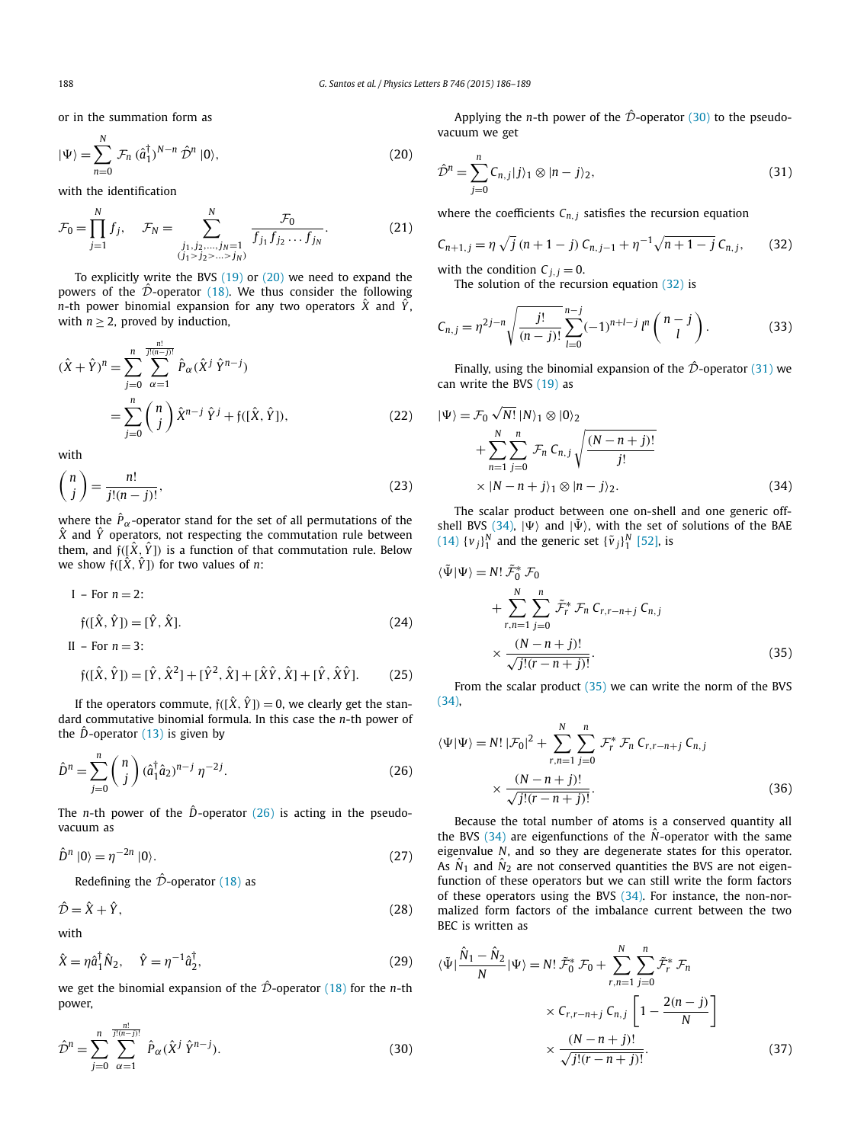or in the summation form as

$$
|\Psi\rangle = \sum_{n=0}^{N} \mathcal{F}_n (\hat{a}_1^{\dagger})^{N-n} \hat{\mathcal{D}}^n |0\rangle, \qquad (20)
$$

with the identification

$$
\mathcal{F}_0 = \prod_{j=1}^N f_j, \quad \mathcal{F}_N = \sum_{\substack{j_1, j_2, \dots, j_N = 1 \\ (j_1 > j_2 > \dots > j_N)}}^N \frac{\mathcal{F}_0}{f_{j_1} f_{j_2} \dots f_{j_N}}.
$$
(21)

To explicitly write the BVS [\(19\)](#page-1-0) or (20) we need to expand the powers of the  $\hat{\mathcal{D}}$ -operator [\(18\).](#page-1-0) We thus consider the following *n*-th power binomial expansion for any two operators  $\hat{X}$  and  $\hat{Y}$ , with  $n \geq 2$ , proved by induction,

$$
(\hat{X} + \hat{Y})^n = \sum_{j=0}^n \sum_{\alpha=1}^{\frac{n!}{j!(n-j)!}} \hat{P}_{\alpha}(\hat{X}^j \hat{Y}^{n-j})
$$
  
= 
$$
\sum_{j=0}^n {n \choose j} \hat{X}^{n-j} \hat{Y}^j + \mathfrak{f}([\hat{X}, \hat{Y}]),
$$
 (22)

with

II – For  $n = 3$ :

$$
\binom{n}{j} = \frac{n!}{j!(n-j)!},\tag{23}
$$

where the  $\hat{P}_{\alpha}$ -operator stand for the set of all permutations of the  $\hat{X}$  and  $\hat{Y}$  operators, not respecting the commutation rule between them, and  $f([\hat{X}, \hat{Y}]$  is a function of that commutation rule. Below we show  $f([\hat{X}, \hat{Y}])$  for two values of *n*:

$$
I - For n = 2:
$$
  
\n
$$
\mathfrak{f}([\hat{X}, \hat{Y}]) = [\hat{Y}, \hat{X}].
$$
\n(24)

$$
\mathfrak{f}([\hat{X}, \hat{Y}]) = [\hat{Y}, \hat{X}^2] + [\hat{Y}^2, \hat{X}] + [\hat{X}\hat{Y}, \hat{X}] + [\hat{Y}, \hat{X}\hat{Y}].
$$
 (25)

If the operators commute,  $f(\hat{X}, \hat{Y}) = 0$ , we clearly get the standard commutative binomial formula. In this case the *n*-th power of the  $\hat{D}$ -operator [\(13\)](#page-1-0) is given by

$$
\hat{D}^n = \sum_{j=0}^n \binom{n}{j} (\hat{a}_1^\dagger \hat{a}_2)^{n-j} \eta^{-2j}.
$$
\n(26)

The *n*-th power of the  $\hat{D}$ -operator (26) is acting in the pseudovacuum as

$$
\hat{D}^n \left| 0 \right\rangle = \eta^{-2n} \left| 0 \right\rangle. \tag{27}
$$

Redefining the  $\hat{\mathcal{D}}$ -operator [\(18\)](#page-1-0) as

*n*!

$$
\hat{\mathcal{D}} = \hat{X} + \hat{Y},\tag{28}
$$

with

$$
\hat{X} = \eta \hat{a}_1^{\dagger} \hat{N}_2, \quad \hat{Y} = \eta^{-1} \hat{a}_2^{\dagger}, \tag{29}
$$

we get the binomial expansion of the  $\hat{\mathcal{D}}$ -operator [\(18\)](#page-1-0) for the *n*-th power,

$$
\hat{\mathcal{D}}^{n} = \sum_{j=0}^{n} \sum_{\alpha=1}^{\overline{j!(n-j)!}} \hat{P}_{\alpha}(\hat{X}^{j} \hat{Y}^{n-j}).
$$
\n(30)

Applying the *n*-th power of the  $\hat{\mathcal{D}}$ -operator (30) to the pseudovacuum we get

$$
\hat{\mathcal{D}}^n = \sum_{j=0}^n C_{n,j} |j\rangle_1 \otimes |n-j\rangle_2, \tag{31}
$$

where the coefficients  $C_{n,j}$  satisfies the recursion equation

$$
C_{n+1,j} = \eta \sqrt{j} (n+1-j) C_{n,j-1} + \eta^{-1} \sqrt{n+1-j} C_{n,j}, \qquad (32)
$$

with the condition  $C_{j,j} = 0$ . The solution of the recursion equation (32) is

$$
C_{n,j} = \eta^{2j-n} \sqrt{\frac{j!}{(n-j)!}} \sum_{l=0}^{n-j} (-1)^{n+l-j} l^n \binom{n-j}{l}.
$$
 (33)

Finally, using the binomial expansion of the  $\hat{\mathcal{D}}$ -operator (31) we can write the BVS [\(19\)](#page-1-0) as

$$
|\Psi\rangle = \mathcal{F}_0 \sqrt{N!} |N\rangle_1 \otimes |0\rangle_2
$$
  
+ 
$$
\sum_{n=1}^{N} \sum_{j=0}^{n} \mathcal{F}_n C_{n,j} \sqrt{\frac{(N-n+j)!}{j!}}
$$
  
× 
$$
|N-n+j\rangle_1 \otimes |n-j\rangle_2.
$$
 (34)

The scalar product between one on-shell and one generic offshell BVS (34),  $|\Psi\rangle$  and  $|\tilde{\Psi}\rangle$ , with the set of solutions of the BAE  $(14)$   $\{v_j\}_1^N$  and the generic set  $\{\tilde{v}_j\}_1^N$  [\[52\],](#page-3-0) is

$$
\langle \tilde{\Psi} | \Psi \rangle = N! \, \tilde{\mathcal{F}}_0^* \, \mathcal{F}_0
$$
\n
$$
+ \sum_{r,n=1}^N \sum_{j=0}^n \tilde{\mathcal{F}}_r^* \, \mathcal{F}_n \, C_{r,r-n+j} \, C_{n,j}
$$
\n
$$
\times \frac{(N-n+j)!}{\sqrt{j!(r-n+j)!}}.
$$
\n(35)

From the scalar product  $(35)$  we can write the norm of the BVS (34),

$$
\langle \Psi | \Psi \rangle = N! \, |\mathcal{F}_0|^2 + \sum_{r,n=1}^N \sum_{j=0}^n \mathcal{F}_r^* \, \mathcal{F}_n \, C_{r,r-n+j} \, C_{n,j} \\
\times \frac{(N-n+j)!}{\sqrt{j!(r-n+j)!}}.
$$
\n(36)

Because the total number of atoms is a conserved quantity all the BVS  $(34)$  are eigenfunctions of the  $\hat{N}$ -operator with the same eigenvalue *N*, and so they are degenerate states for this operator. As  $\hat{N}_1$  and  $\hat{N}_2$  are not conserved quantities the BVS are not eigenfunction of these operators but we can still write the form factors of these operators using the BVS (34). For instance, the non-normalized form factors of the imbalance current between the two BEC is written as

$$
\langle \tilde{\Psi} | \frac{\hat{N}_1 - \hat{N}_2}{N} | \Psi \rangle = N! \tilde{\mathcal{F}}_0^* \mathcal{F}_0 + \sum_{r,n=1}^N \sum_{j=0}^n \tilde{\mathcal{F}}_r^* \mathcal{F}_n
$$

$$
\times C_{r,r-n+j} C_{n,j} \left[ 1 - \frac{2(n-j)}{N} \right]
$$

$$
\times \frac{(N-n+j)!}{\sqrt{j!(r-n+j)!}}.
$$
(37)